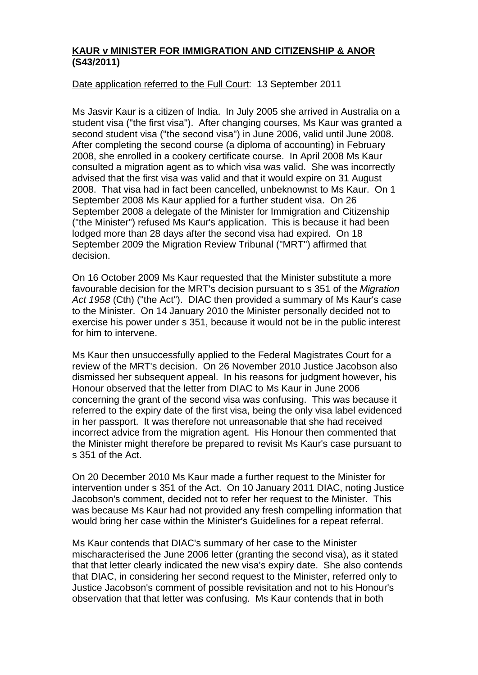## **KAUR v MINISTER FOR IMMIGRATION AND CITIZENSHIP & ANOR (S43/2011)**

## Date application referred to the Full Court: 13 September 2011

Ms Jasvir Kaur is a citizen of India. In July 2005 she arrived in Australia on a student visa ("the first visa"). After changing courses, Ms Kaur was granted a second student visa ("the second visa") in June 2006, valid until June 2008. After completing the second course (a diploma of accounting) in February 2008, she enrolled in a cookery certificate course. In April 2008 Ms Kaur consulted a migration agent as to which visa was valid. She was incorrectly advised that the first visa was valid and that it would expire on 31 August 2008. That visa had in fact been cancelled, unbeknownst to Ms Kaur. On 1 September 2008 Ms Kaur applied for a further student visa. On 26 September 2008 a delegate of the Minister for Immigration and Citizenship ("the Minister") refused Ms Kaur's application. This is because it had been lodged more than 28 days after the second visa had expired. On 18 September 2009 the Migration Review Tribunal ("MRT") affirmed that decision.

On 16 October 2009 Ms Kaur requested that the Minister substitute a more favourable decision for the MRT's decision pursuant to s 351 of the *Migration Act 1958* (Cth) ("the Act"). DIAC then provided a summary of Ms Kaur's case to the Minister. On 14 January 2010 the Minister personally decided not to exercise his power under s 351, because it would not be in the public interest for him to intervene.

Ms Kaur then unsuccessfully applied to the Federal Magistrates Court for a review of the MRT's decision. On 26 November 2010 Justice Jacobson also dismissed her subsequent appeal. In his reasons for judgment however, his Honour observed that the letter from DIAC to Ms Kaur in June 2006 concerning the grant of the second visa was confusing. This was because it referred to the expiry date of the first visa, being the only visa label evidenced in her passport. It was therefore not unreasonable that she had received incorrect advice from the migration agent. His Honour then commented that the Minister might therefore be prepared to revisit Ms Kaur's case pursuant to s 351 of the Act.

On 20 December 2010 Ms Kaur made a further request to the Minister for intervention under s 351 of the Act. On 10 January 2011 DIAC, noting Justice Jacobson's comment, decided not to refer her request to the Minister. This was because Ms Kaur had not provided any fresh compelling information that would bring her case within the Minister's Guidelines for a repeat referral.

Ms Kaur contends that DIAC's summary of her case to the Minister mischaracterised the June 2006 letter (granting the second visa), as it stated that that letter clearly indicated the new visa's expiry date. She also contends that DIAC, in considering her second request to the Minister, referred only to Justice Jacobson's comment of possible revisitation and not to his Honour's observation that that letter was confusing. Ms Kaur contends that in both